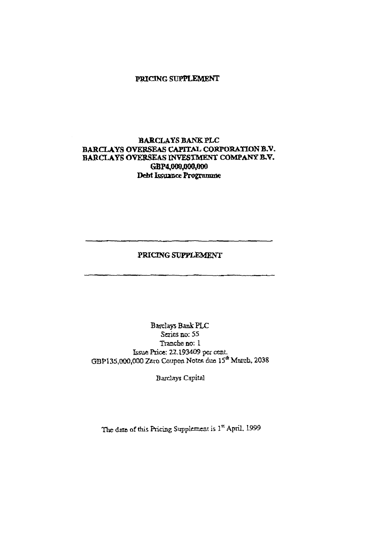### **PRICING SUPPLEMENT**

# **BARCLAYS BANK PLC BARCLAYS OVERSEAS CAPITAL CORPORATION B.V. BARCLAYS OVERSEAS INVESTMENT COMPANY B.V. GBP4,000,000,000 Debt Issuance Programme**

## **PRICING SUPPLEMENT**

Barclays Bank PLC Series no: 55 Tranche no: 1 Issue Price: 22.193409 per cent. GBP135,000,000 Zero Coupon Notes due 15<sup>th</sup> March, 2038

Barclays Capital

The date of this Pricing Supplement is  $1<sup>st</sup>$  April, 1999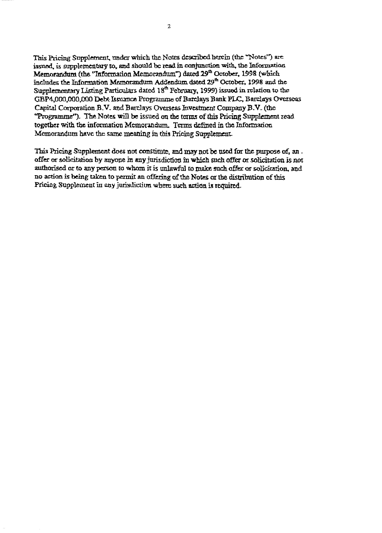This Pricing Supplement, under which the Notes described herein (the "Notes") are issued, is supplementary to, and should be read in conjunction with, the Information Memorandum (the "Information Memorandum") dated 29<sup>th</sup> October, 1998 (which includes the Information Memorandum Addendum dated 29<sup>th</sup> October, 1998 and the Supplementary Listing Particulars dated 18<sup>th</sup> February, 1999) issued in relation to the GBP4,000,000,000 Debt Issuance Programme of Barclays Bank PLC, Barclays Overseas Capital Corporation B.V. and Barclays Overseas Investment Company B.V. (the "Programme"). The Notes will be issued on the terms of this Pricing Supplement read together with the information Memorandum. Terms defined in the Information Memorandum have the same meaning in this Pricing Supplement

This Pricing Supplement does not constitute, and may not be used for the purpose of, an. offer or solicitation by anyone in any jurisdiction in which such offer or solicitation is not authorised or to any person to whom it is unlawful to make such offer or solicitation, and no action is being taken to permit an offering of the Notes or the distribution of this Pricing Supplement in any jurisdiction where such action is required.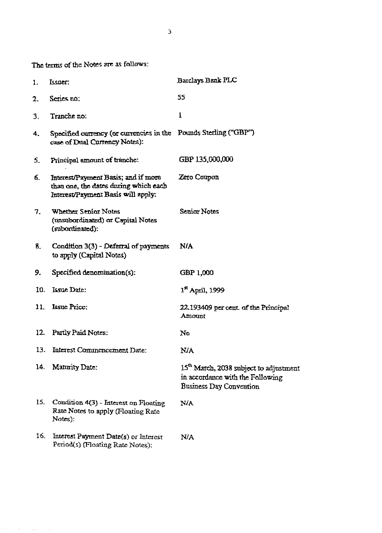The terms of the Notes are as follows:

| 1.  | Issner:                                                                                                            | Barclays Bank PLC                                                                                                 |
|-----|--------------------------------------------------------------------------------------------------------------------|-------------------------------------------------------------------------------------------------------------------|
| 2.  | Series no:                                                                                                         | 55                                                                                                                |
| 3.  | Tranche no:                                                                                                        | $\mathbf{1}$                                                                                                      |
| 4.  | Specified currency (or currencies in the Pounds Sterling ("GBP")<br>case of Dual Currency Notes):                  |                                                                                                                   |
| S.  | Principal amount of tranche:                                                                                       | GBP 135,000,000                                                                                                   |
| б.  | Interest/Payment Basis; and if more<br>than one, the dates during which each<br>Interest/Payment Basis will apply: | Zero Coupon                                                                                                       |
| 7.  | Whether Senior Notes<br>(unsubordinated) or Capital Notes<br>(subordinated):                                       | Senior Notes                                                                                                      |
| 8.  | Condition 3(3) - Deferral of payments<br>to apply (Capital Notes)                                                  | N/A                                                                                                               |
| 9.  | Specified denomination(s):                                                                                         | GBP 1,000                                                                                                         |
| 10. | Issue Date:                                                                                                        | 1" April, 1999                                                                                                    |
| 11. | <b>Lasue Price:</b>                                                                                                | 22.193409 per cent of the Principal<br>Amount                                                                     |
| 12  | Partly Paid Notes:                                                                                                 | No                                                                                                                |
| 13. | Interest Commencement Date:                                                                                        | N/A                                                                                                               |
| 14. | Maturity Date:                                                                                                     | 15 <sup>th</sup> March, 2038 subject to adjustment<br>in accordance with the Following<br>Business Day Convention |
| 15. | Condition 4(3) - Interest on Floating<br>Rate Notes to apply (Floating Rate<br>Notes):                             | <b>N/A</b>                                                                                                        |
| 16. | Interest Payment Date(s) or Interest<br>Period(s) (Floating Rate Notes):                                           | N/A                                                                                                               |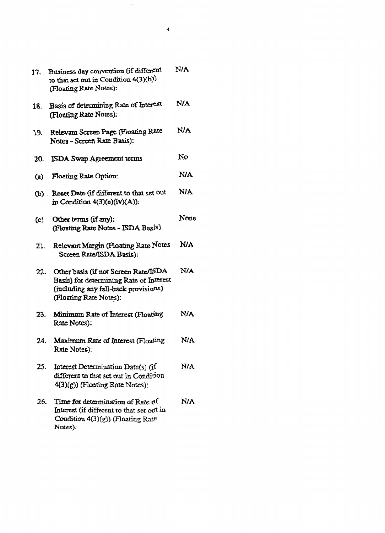| 17. | Business day convention (if different<br>to that set out in Condition 4(3)(b))<br>(Floating Rate Notes):                                          | <b>N/A</b> |
|-----|---------------------------------------------------------------------------------------------------------------------------------------------------|------------|
| 18. | Basis of determining Rate of Interest<br>(Floating Rate Notes):                                                                                   | N/A        |
| 19. | Relevant Screen Page (Floating Rate<br>Notes - Screen Rate Basis):                                                                                | <b>NA</b>  |
| 20. | ISDA Swap Agreement terms                                                                                                                         | No         |
| (a) | Floating Rate Option:                                                                                                                             | NA.        |
|     | (b) Reset Date (if different to that set out<br>in Condition $4(3)(e)(iv)(A)$ :                                                                   | NIA        |
| (c) | Other terms (if any):<br>(Floating Rate Notes - ISDA Basis)                                                                                       | None       |
| 21. | Relevant Margin (Floating Rate Notes<br>Screen Rate/ISDA Basis):                                                                                  | N/A        |
| 22. | Other basis (if not Screen Rate/ISDA<br>Basis) for determining Rate of Interest<br>(including any fall-back provisions)<br>(Floating Rate Notes): | N/A        |
| 23. | Minimum Rate of Interest (Floating<br>Rate Notes):                                                                                                | N/A        |
| 24. | Maximum Rate of Interest (Floating<br>Rate Notes):                                                                                                | NA         |
| 25. | Interest Determination Date(s) (if<br>different to that set out in Condition<br>$4(3)(g)$ (Floating Rate Notes):                                  | N/A        |
| 26. | Time for determination of Rate of<br>Interest (if different to that set out in<br>Condition $4(3)(g)$ (Floating Rate<br>Notes):                   | N/A        |

 $\label{eq:2.1} \frac{1}{\sqrt{2}}\int_{\mathbb{R}^3}\frac{1}{\sqrt{2}}\left(\frac{1}{\sqrt{2}}\right)^2\frac{1}{\sqrt{2}}\left(\frac{1}{\sqrt{2}}\right)^2\frac{1}{\sqrt{2}}\left(\frac{1}{\sqrt{2}}\right)^2\frac{1}{\sqrt{2}}\left(\frac{1}{\sqrt{2}}\right)^2.$ 

 $\mathcal{L}^{\text{max}}_{\text{max}}$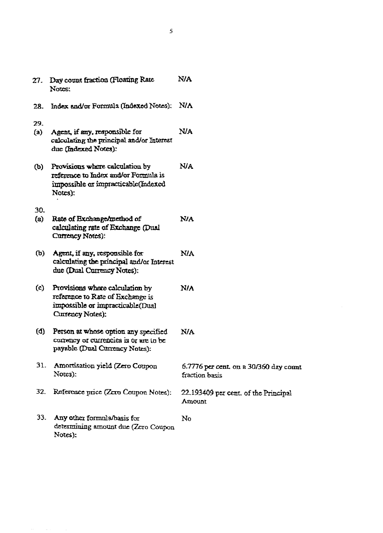| $27 -$     | Day count fraction (Floating Rate<br>Notes:                                                                                 | <b>N/A</b>                                               |
|------------|-----------------------------------------------------------------------------------------------------------------------------|----------------------------------------------------------|
| 28.        | Index and/or Formula (Indexed Notes):                                                                                       | N/A                                                      |
| 29.<br>(a) | Agent, if any, responsible for<br>calculating the principal and/or Interest<br>due (Indexed Notes):                         | N/A                                                      |
| (ხ)        | Provisions where calculation by<br>reference to Index and/or Formula is<br>impossible or impracticable(Indexed<br>Notes):   | NJA.                                                     |
| 30.        |                                                                                                                             |                                                          |
| (a)        | Rate of Exchange/method of<br>calculating rate of Exchange (Dual<br>Currency Notes):                                        | <b>N/A</b>                                               |
| ው)         | Agent, if any, responsible for<br>calculating the principal and/or Interest<br>due (Dual Currency Notes):                   | <b>N/A</b>                                               |
| (c)        | Provisions where calculation by<br>reference to Rate of Exchange is<br>impossible or impracticable(Dual<br>Currency Notes): | N/A                                                      |
| (d)        | Person at whose option any specified<br>corrency or currencies is or are to be<br>payable (Dual Currency Notes):            | N/A                                                      |
| 31.        | Amortisation yield (Zero Coupon<br>Notes):                                                                                  | 6.7776 per cent. on a 30/360 day count<br>fraction basis |
| 32.        | Reference price (Zero Coupon Notes):                                                                                        | 22.193409 per cent, of the Principal<br>Amount           |
| 33.        | Any other formula/basis for<br>determining amount due (Zero Coupon<br>Notes):                                               | No                                                       |

 $\mathcal{A}$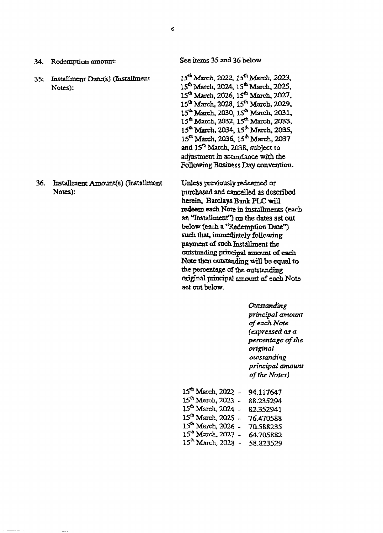| Redemption amount<br>34.                           | See items 35 and 36 below                                                                                                                                                                                                                                                                                                                                                                                                                             |
|----------------------------------------------------|-------------------------------------------------------------------------------------------------------------------------------------------------------------------------------------------------------------------------------------------------------------------------------------------------------------------------------------------------------------------------------------------------------------------------------------------------------|
| Installment Date(s) (Installment<br>35:<br>Notes): | 15 <sup>th</sup> March, 2022, 15 <sup>th</sup> March, 2023,<br>15 <sup>th</sup> March, 2024, 15 <sup>th</sup> March, 2025.<br>15 <sup>th</sup> March, 2026, 15 <sup>th</sup> March, 2027,<br>15 <sup>th</sup> March, 2028, 15 <sup>th</sup> March, 2029,<br>15 <sup>th</sup> March, 2030, 15 <sup>th</sup> March, 2031,<br>15 <sup>th</sup> March, 2032, 15 <sup>th</sup> March, 2033,<br>15 <sup>th</sup> March, 2034, 15 <sup>th</sup> March, 2035, |

36. Installment Amount(s) (Installment Notes):

Unless previously redeemed or purchased and cancelled as described herein, Barclays Bank PLC will redeem each Note in installments (each an "Installment") on the dates set out below (each a ''Redemption Date") such that, immediately following payment of such Installment the outstanding principal amount of each Note then outstanding will be equal to the percentage of the outstanding original principal amount of each Note set out below.

 $15^{th}$  March, 2036,  $15^{th}$  March, 2037 and 15<sup>th</sup> March, 2038, subject to adjustment in accordance with the Following Business Day convention.

> *Outstanding principal amount of each Note (expressed as a percentage of the original outstanding principal amount of the Notes)*

| $15^{\text{th}}$ March, 2022 - | 94.117647 |
|--------------------------------|-----------|
| $15^{\text{th}}$ March, 2023.  | 88.235294 |
| $15^{\text{th}}$ March, 2024 - | 82.352941 |
| 15 <sup>th</sup> March, 2025 - | 76.470588 |
| 15 <sup>th</sup> March, 2026 - | 70.588235 |
| 15 <sup>c</sup> March, 2027 -  | 64.705882 |
| $15^{\text{th}}$ March, 2028 - | 58.823529 |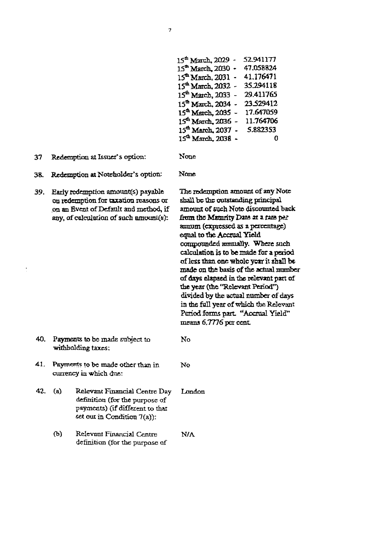| $15th$ March, 2029 -                                     | 52.941177 |
|----------------------------------------------------------|-----------|
| 15th March. 2030 -                                       | 47.058824 |
| 15 <sup>th</sup> March, 2031<br>$\overline{\phantom{a}}$ | 41.176471 |
| $15^{\text{th}}$ March, 2032 -                           | 35.294118 |
| 15 <sup>th</sup> March, 2033 -                           | 29.411765 |
| $15^{\text{th}}$ March, 2034 -                           | 23.529412 |
| 15 <sup>th</sup> March, 2035 -                           | 17.647059 |
| 15 <sup>th</sup> March, 2036                             | 11.764706 |
| $15^{\text{th}}$ March, 2037<br>$\overline{a}$           | 5.882353  |
| 15 <sup>th</sup> March, 2038 -                           | -0        |

37 Redemption at Issuer's option: None

38. Redemption at Noteholder's option: None

39. Early redemption amount(s) payable on redemption fox taxation reasons or on an Event of Default and method, if any, of calculation of such amount(a):

The redemption amount of any Note shall be the outstanding principal amount of such Note discounted back from the Maturity Date at a rate per annum (expressed as a percentage) eqnal to the Accrual Yield compounded annually. Where such calculation is to be made for a period of less than one whole year it shall be made on the basis of the actual number of days elapsed in the relevant part of the year (the "Relevant Period") divided by the actual number of days in the full year of which the Relevant Period forms part. "Accrual Yield" means 6.7776 per cent.

No

No

- 40. Payments to be made subject to withholding taxes:
- 41. Payments to be made other than in currency in which due:
- 42. (a) Relevant Financial Centre Day definition (for the purpose of payments) (if different to that set out in Condition 7(a)): London
	- (b) Relevant Financial Centre definition (for the purpose of N/A

**7**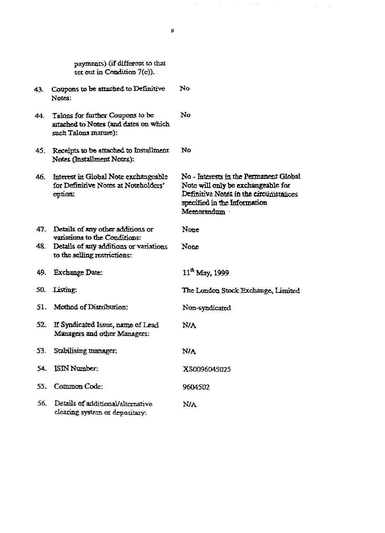|            | set out in Condition $7(c)$ ).                                                                              |                                                                                                                                                                     |
|------------|-------------------------------------------------------------------------------------------------------------|---------------------------------------------------------------------------------------------------------------------------------------------------------------------|
| 43.        | Coupons to be attached to Definitive<br>Notes!                                                              | No                                                                                                                                                                  |
| 44.        | Talons for further Coupons to be<br>artached to Notes (and dates on which<br>such Talons manne):            | No                                                                                                                                                                  |
| 45.        | Receipts to be attached to Installment<br>Notes (Installment Notes):                                        | No                                                                                                                                                                  |
| 46.        | Interest in Global Note exchangeable<br>for Definitive Notes at Noteholders'<br>option:                     | No - Interests in the Permanent Global<br>Note will only be exchangeable for<br>Definitive Notes in the circumstances<br>specified in the Information<br>Memorandum |
|            | 47. Details of any other additions or                                                                       | None                                                                                                                                                                |
|            | variations to the Conditions:<br>48. Details of any additions or variations<br>to the selling restrictions: | None                                                                                                                                                                |
| 49.        | Exchange Date:                                                                                              | $11^{th}$ May, 1999                                                                                                                                                 |
| 50.        | Listing:                                                                                                    | The London Stock Exchange, Limited                                                                                                                                  |
| 51.        | Method of Distribution:                                                                                     | Non-syndicated                                                                                                                                                      |
| <u>52.</u> | If Syndicated Issue, name of Lead<br>Managers and other Managers:                                           | <b>N/A</b>                                                                                                                                                          |
| 53.        | Stabilising manager:                                                                                        | N/A                                                                                                                                                                 |
| 54.        | ISIN Number:                                                                                                | XS0096045025                                                                                                                                                        |
| 55.        | Common Code:                                                                                                | 9604502                                                                                                                                                             |
| 56.        | Details of additional/alternative<br>clearing system or depositary.                                         | N/A                                                                                                                                                                 |

**8** 

 $\mathcal{O}(\mathcal{H}^{\mathcal{A}})$  and  $\mathcal{O}(\mathcal{A}^{\mathcal{A}})$  are the set of the set of  $\mathcal{O}(\mathcal{A})$ 

payments) (if different to chat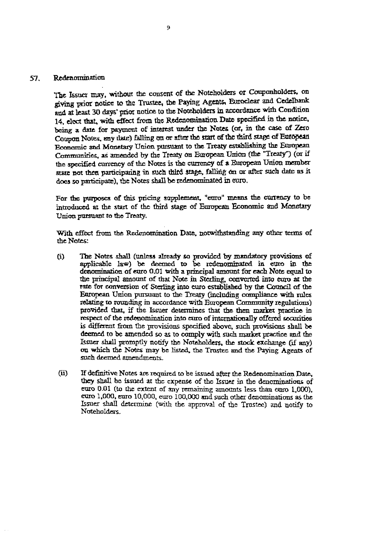### 57. Redenomination

The Issuer may, without the consent of the Noteholders or Couponholders, on giving prior notice to the Trustee, the Paying Agents, Euroclear and Cedelbank and at least 30 days' prior notice to the Noteholders in accordance with Condition 14, elect that, with effect from the Redenomination. Date specified in the notice, being a date for payment of interest under the Notes (of, in the case of Zero Coupon Notes, any date) falling on or after the start of the third stage of European Economic and Monetary Union pursuant to the Treaty establishing the European Communities, as amended by the Treaty on European Union (the "Treaty") (or if the specified currency of the Notes is the currency of a European Union member state not then participating in such third stage, falling on or after such date as it does so participate), the Notes shall be redenominated in euro.

For the purposes of this pricing supplement, "euro" means the currency to be introduced at the start of the third stage of European Economic and Monetary Union pursuant to the Treaty.

With effect from the Redenomination Date, notwithstanding any other terms of the Notes:

- (i) The Notes shall (unless already so provided by mandatory provisions of applicable law) be deemed to be redenominated in euro in the denomination of euro 0.01 with a principal amount for each Note equal to the principal amount of that Note in Sterling, converted into euro at the rate for conversion of Sterling into euro established by the Council of the European Union pursuant to the Treaty (including compliance with rules relating to rounding in accordance with European Community regulations) provided that, if the Issuer determines that the then market practice in respect of the redenomination into euro of internationally offered securities is different from the provisions specified above, such provisions shall be deemed to be amended so as to comply with such market practice and the Issuer shall promptly notify the Noteholders, the stock exchange (if any) on which the Notes may be listed, the Trustee and the Paying Agents of such deemed amendments.
- (ii) If definitive Notes are required to be issued after the Redenomination Date, they shall be issued at the expense of the Issuer in the denominations of euro 0.01 (to the extent of any remaining amounts less than euro 1,000), euro 1,000, euro 10,000, euro 100,000 and such other denominations as the Issuer shall determine (with the approval of the Trustee) and notify to Noteholders.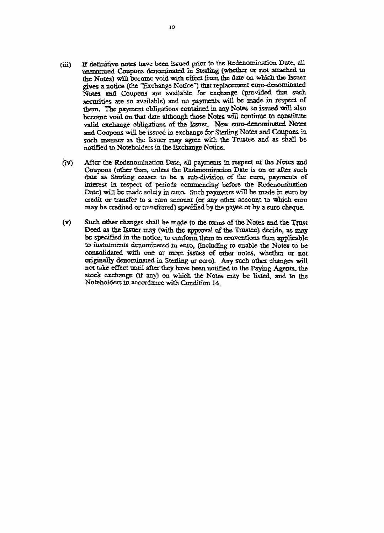- (iii) If definitive notes have been issued prior to the Redenomination Date, all unmatured Coupons denominated in Sterling (whether or not attached to the Notes) will become void with effect from the date on which the Issuer gives a notice (the "Exchange Notice") that replacement euro-denominated Notes and Coupons are available for exchange (provided that such securities are so available) and no payments will be made in respect of them. The payment obligations contained in any Notes so issued will also become void on that date although those Notes will continue to constitute valid exchange obligations of the Issuer. New euro-denominated Notes and Coupons will be issued in exchange for Sterling Notes and Coupons in such manner as the Issuer may agree with the Trustee and as shall be notified to Noteholders in the Exchange Notice.
- (iv) After the Redenomination Date, all payments in respect of the Notes and Coupons (other than, unless the Redenomination Date is on or after such date as Sterling ceases to be a sub-division of the euro, payments of interest in respect of periods commencing before the Redenomination Date) will be made solely in euro. Such payments will be made in euro by credit or transfer to a euro account (or any other account to which euro may be credited or transferred) specified by the payee or by a euro cheque.
- (v) Such other changes shall be made to the terms of the Notes and the Trust Deed as the Issuer may (with the approval of the Trustee) decide, as may be specified in the notice, to conform them to conventions then applicable to instruments denominated in euro, (including to enable the Notes to be consolidated with one or more issues of other notes, whether or not originally denominated in Sterling or euro). Any such other changes will not take effect until after they have been notified to the Paying Agents, the stock exchange (if any) on which the Notes may be listed, and to the Noteholders in accordance with Condition 14.